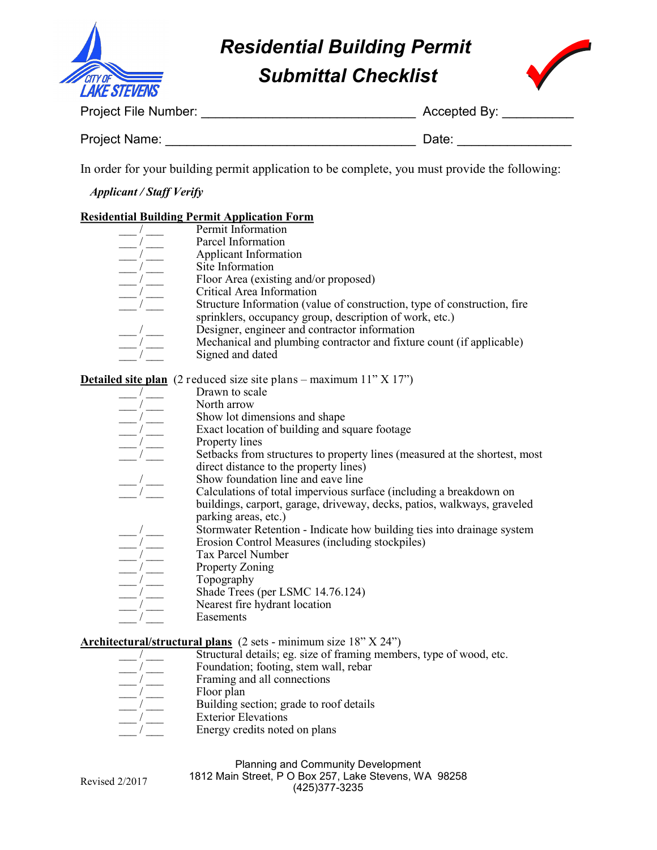

# *Submittal Checklist Residential Building Permit*



Project File Number: \_\_\_\_\_\_\_\_\_\_\_\_\_\_\_\_\_\_\_\_\_\_\_\_\_\_\_\_\_\_ Accepted By: \_\_\_\_\_\_\_\_\_\_

| <b>Project Name:</b> |  | Date: |  |
|----------------------|--|-------|--|
|----------------------|--|-------|--|

In order for your building permit application to be complete, you must provide the following:

*Applicant / Staff Verify*

## **Residential Building Permit Application Form**

| Permit Information                                                       |
|--------------------------------------------------------------------------|
| Parcel Information                                                       |
| Applicant Information                                                    |
| Site Information                                                         |
| Floor Area (existing and/or proposed)                                    |
| Critical Area Information                                                |
| Structure Information (value of construction, type of construction, fire |
| sprinklers, occupancy group, description of work, etc.)                  |
| Designer, engineer and contractor information                            |
| Mechanical and plumbing contractor and fixture count (if applicable)     |
| Signed and dated                                                         |
|                                                                          |

**Detailed site plan** (2 reduced size site plans – maximum 11" X 17")

- Drawn to scale North arrow Show lot dimensions and shape Exact location of building and square footage Property lines
- Setbacks from structures to property lines (measured at the shortest, most direct distance to the property lines)
- Show foundation line and eave line
- Calculations of total impervious surface (including a breakdown on buildings, carport, garage, driveway, decks, patios, walkways, graveled parking areas, etc.)
- Stormwater Retention Indicate how building ties into drainage system
	- Erosion Control Measures (including stockpiles)
- Tax Parcel Number
- Property Zoning
- Topography
- Shade Trees (per LSMC  $14.76.124$ )
- Nearest fire hydrant location
- Easements

# **Architectural/structural plans** (2 sets - minimum size 18" X 24")

- Structural details; eg. size of framing members, type of wood, etc.
- Foundation; footing, stem wall, rebar
- Framing and all connections
- Floor plan

Revised 2/2017

- Building section; grade to roof details
- Exterior Elevations
- Energy credits noted on plans

| <b>Planning and Community Development</b>             |  |  |
|-------------------------------------------------------|--|--|
| 1812 Main Street, P O Box 257, Lake Stevens, WA 98258 |  |  |
| (425) 377-3235                                        |  |  |